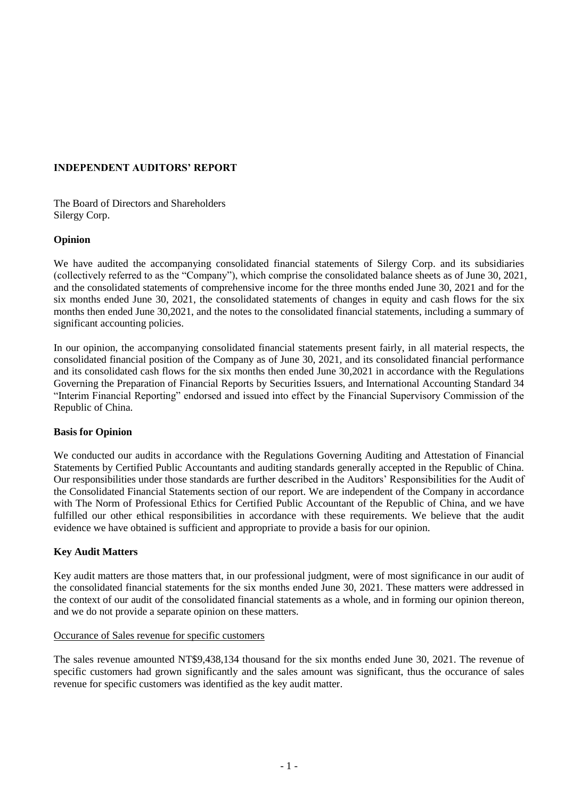## **INDEPENDENT AUDITORS' REPORT**

The Board of Directors and Shareholders Silergy Corp.

## **Opinion**

We have audited the accompanying consolidated financial statements of Silergy Corp. and its subsidiaries (collectively referred to as the "Company"), which comprise the consolidated balance sheets as of June 30, 2021, and the consolidated statements of comprehensive income for the three months ended June 30, 2021 and for the six months ended June 30, 2021, the consolidated statements of changes in equity and cash flows for the six months then ended June 30,2021, and the notes to the consolidated financial statements, including a summary of significant accounting policies.

In our opinion, the accompanying consolidated financial statements present fairly, in all material respects, the consolidated financial position of the Company as of June 30, 2021, and its consolidated financial performance and its consolidated cash flows for the six months then ended June 30,2021 in accordance with the Regulations Governing the Preparation of Financial Reports by Securities Issuers, and International Accounting Standard 34 "Interim Financial Reporting" endorsed and issued into effect by the Financial Supervisory Commission of the Republic of China.

## **Basis for Opinion**

We conducted our audits in accordance with the Regulations Governing Auditing and Attestation of Financial Statements by Certified Public Accountants and auditing standards generally accepted in the Republic of China. Our responsibilities under those standards are further described in the Auditors' Responsibilities for the Audit of the Consolidated Financial Statements section of our report. We are independent of the Company in accordance with The Norm of Professional Ethics for Certified Public Accountant of the Republic of China, and we have fulfilled our other ethical responsibilities in accordance with these requirements. We believe that the audit evidence we have obtained is sufficient and appropriate to provide a basis for our opinion.

## **Key Audit Matters**

Key audit matters are those matters that, in our professional judgment, were of most significance in our audit of the consolidated financial statements for the six months ended June 30, 2021. These matters were addressed in the context of our audit of the consolidated financial statements as a whole, and in forming our opinion thereon, and we do not provide a separate opinion on these matters.

## Occurance of Sales revenue for specific customers

The sales revenue amounted NT\$9,438,134 thousand for the six months ended June 30, 2021. The revenue of specific customers had grown significantly and the sales amount was significant, thus the occurance of sales revenue for specific customers was identified as the key audit matter.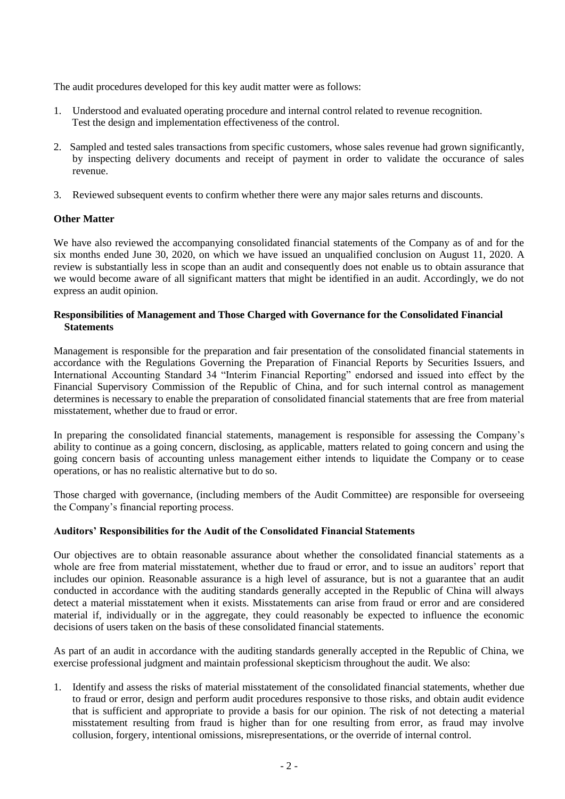The audit procedures developed for this key audit matter were as follows:

- 1. Understood and evaluated operating procedure and internal control related to revenue recognition. Test the design and implementation effectiveness of the control.
- 2. Sampled and tested sales transactions from specific customers, whose sales revenue had grown significantly, by inspecting delivery documents and receipt of payment in order to validate the occurance of sales revenue.
- 3. Reviewed subsequent events to confirm whether there were any major sales returns and discounts.

## **Other Matter**

We have also reviewed the accompanying consolidated financial statements of the Company as of and for the six months ended June 30, 2020, on which we have issued an unqualified conclusion on August 11, 2020. A review is substantially less in scope than an audit and consequently does not enable us to obtain assurance that we would become aware of all significant matters that might be identified in an audit. Accordingly, we do not express an audit opinion.

## **Responsibilities of Management and Those Charged with Governance for the Consolidated Financial Statements**

Management is responsible for the preparation and fair presentation of the consolidated financial statements in accordance with the Regulations Governing the Preparation of Financial Reports by Securities Issuers, and International Accounting Standard 34 "Interim Financial Reporting" endorsed and issued into effect by the Financial Supervisory Commission of the Republic of China, and for such internal control as management determines is necessary to enable the preparation of consolidated financial statements that are free from material misstatement, whether due to fraud or error.

In preparing the consolidated financial statements, management is responsible for assessing the Company's ability to continue as a going concern, disclosing, as applicable, matters related to going concern and using the going concern basis of accounting unless management either intends to liquidate the Company or to cease operations, or has no realistic alternative but to do so.

Those charged with governance, (including members of the Audit Committee) are responsible for overseeing the Company's financial reporting process.

## **Auditors' Responsibilities for the Audit of the Consolidated Financial Statements**

Our objectives are to obtain reasonable assurance about whether the consolidated financial statements as a whole are free from material misstatement, whether due to fraud or error, and to issue an auditors' report that includes our opinion. Reasonable assurance is a high level of assurance, but is not a guarantee that an audit conducted in accordance with the auditing standards generally accepted in the Republic of China will always detect a material misstatement when it exists. Misstatements can arise from fraud or error and are considered material if, individually or in the aggregate, they could reasonably be expected to influence the economic decisions of users taken on the basis of these consolidated financial statements.

As part of an audit in accordance with the auditing standards generally accepted in the Republic of China, we exercise professional judgment and maintain professional skepticism throughout the audit. We also:

1. Identify and assess the risks of material misstatement of the consolidated financial statements, whether due to fraud or error, design and perform audit procedures responsive to those risks, and obtain audit evidence that is sufficient and appropriate to provide a basis for our opinion. The risk of not detecting a material misstatement resulting from fraud is higher than for one resulting from error, as fraud may involve collusion, forgery, intentional omissions, misrepresentations, or the override of internal control.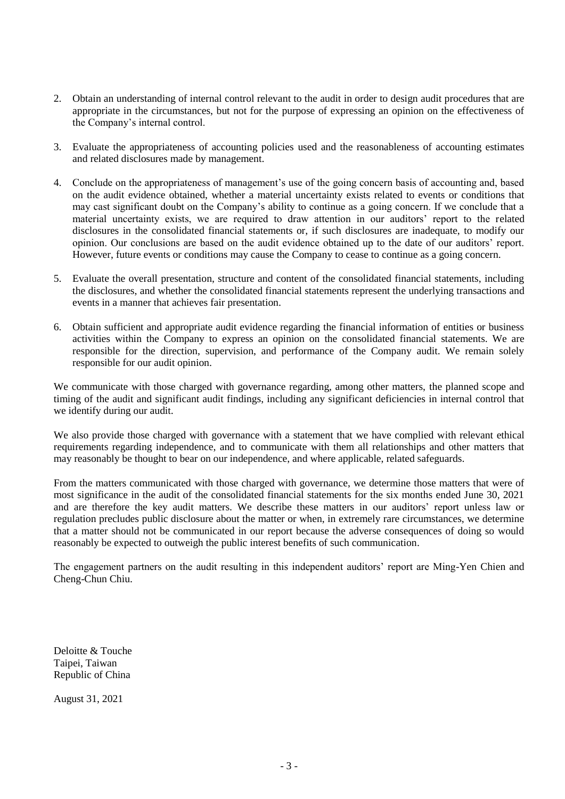- 2. Obtain an understanding of internal control relevant to the audit in order to design audit procedures that are appropriate in the circumstances, but not for the purpose of expressing an opinion on the effectiveness of the Company's internal control.
- 3. Evaluate the appropriateness of accounting policies used and the reasonableness of accounting estimates and related disclosures made by management.
- 4. Conclude on the appropriateness of management's use of the going concern basis of accounting and, based on the audit evidence obtained, whether a material uncertainty exists related to events or conditions that may cast significant doubt on the Company's ability to continue as a going concern. If we conclude that a material uncertainty exists, we are required to draw attention in our auditors' report to the related disclosures in the consolidated financial statements or, if such disclosures are inadequate, to modify our opinion. Our conclusions are based on the audit evidence obtained up to the date of our auditors' report. However, future events or conditions may cause the Company to cease to continue as a going concern.
- 5. Evaluate the overall presentation, structure and content of the consolidated financial statements, including the disclosures, and whether the consolidated financial statements represent the underlying transactions and events in a manner that achieves fair presentation.
- 6. Obtain sufficient and appropriate audit evidence regarding the financial information of entities or business activities within the Company to express an opinion on the consolidated financial statements. We are responsible for the direction, supervision, and performance of the Company audit. We remain solely responsible for our audit opinion.

We communicate with those charged with governance regarding, among other matters, the planned scope and timing of the audit and significant audit findings, including any significant deficiencies in internal control that we identify during our audit.

We also provide those charged with governance with a statement that we have complied with relevant ethical requirements regarding independence, and to communicate with them all relationships and other matters that may reasonably be thought to bear on our independence, and where applicable, related safeguards.

From the matters communicated with those charged with governance, we determine those matters that were of most significance in the audit of the consolidated financial statements for the six months ended June 30, 2021 and are therefore the key audit matters. We describe these matters in our auditors' report unless law or regulation precludes public disclosure about the matter or when, in extremely rare circumstances, we determine that a matter should not be communicated in our report because the adverse consequences of doing so would reasonably be expected to outweigh the public interest benefits of such communication.

The engagement partners on the audit resulting in this independent auditors' report are Ming-Yen Chien and Cheng-Chun Chiu.

Deloitte & Touche Taipei, Taiwan Republic of China

August 31, 2021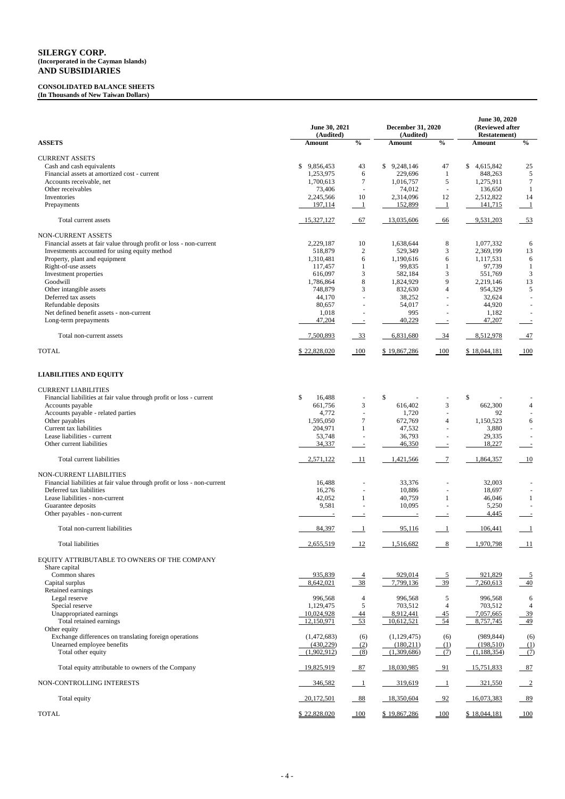## **CONSOLIDATED BALANCE SHEETS (In Thousands of New Taiwan Dollars)**

|                                                                                | June 30, 2021<br>(Audited) | December 31, 2020<br>(Audited) |                           | June 30, 2020<br>(Reviewed after<br><b>Restatement</b> ) |                        |                            |
|--------------------------------------------------------------------------------|----------------------------|--------------------------------|---------------------------|----------------------------------------------------------|------------------------|----------------------------|
| <b>ASSETS</b>                                                                  | Amount                     | $\frac{0}{0}$                  | Amount                    | $\frac{0}{0}$                                            | Amount                 | $\frac{0}{0}$              |
| <b>CURRENT ASSETS</b>                                                          |                            |                                |                           |                                                          |                        |                            |
| Cash and cash equivalents                                                      | 9,856,453<br>\$            | 43                             | $\mathbb{S}$<br>9,248,146 | 47                                                       | \$4,615,842            | 25                         |
| Financial assets at amortized cost - current                                   | 1,253,975                  | 6                              | 229,696                   | 1                                                        | 848,263                | $\mathfrak{S}$             |
| Accounts receivable, net                                                       | 1,700,613                  | $\tau$                         | 1,016,757                 | 5                                                        | 1,275,911              | $\tau$                     |
| Other receivables<br>Inventories                                               | 73,406<br>2,245,566        | 10                             | 74,012<br>2,314,096       | $\overline{\phantom{a}}$<br>12                           | 136,650<br>2,512,822   | 14                         |
| Prepayments                                                                    | 197,114                    | $\overline{\phantom{0}}$       | 152,899                   | $\perp$                                                  | 141,715                | $\overline{1}$             |
| Total current assets                                                           | 15,327,127                 | $-67$                          | 13,035,606                | 66                                                       | 9,531,203              | $-53$                      |
| <b>NON-CURRENT ASSETS</b>                                                      |                            |                                |                           |                                                          |                        |                            |
| Financial assets at fair value through profit or loss - non-current            | 2,229,187                  | 10                             | 1,638,644                 | $\,8\,$                                                  | 1,077,332              | 6                          |
| Investments accounted for using equity method<br>Property, plant and equipment | 518,879<br>1,310,481       | $\mathbf{2}$<br>6              | 529,349<br>1,190,616      | $\mathfrak{Z}$<br>6                                      | 2,369,199<br>1,117,531 | 13<br>$\sqrt{6}$           |
| Right-of-use assets                                                            | 117,457                    | 1                              | 99,835                    | 1                                                        | 97,739                 | $\mathbf{1}$               |
| Investment properties                                                          | 616,097                    | 3                              | 582,184                   | $\mathfrak{Z}$                                           | 551,769                | 3                          |
| Goodwill                                                                       | 1,786,864                  | $8\,$                          | 1,824,929                 | 9                                                        | 2,219,146              | 13                         |
| Other intangible assets                                                        | 748,879                    | $\ensuremath{\mathfrak{Z}}$    | 832,630                   | $\overline{4}$                                           | 954,329                | $\sqrt{5}$                 |
| Deferred tax assets                                                            | 44,170                     | $\sim$                         | 38,252                    | $\blacksquare$                                           | 32,624                 |                            |
| Refundable deposits                                                            | 80,657                     | $\overline{\phantom{a}}$       | 54,017                    | $\sim$                                                   | 44,920                 |                            |
| Net defined benefit assets - non-current                                       | 1,018                      |                                | 995                       |                                                          | 1,182                  |                            |
| Long-term prepayments                                                          | 47,204                     | $\equiv$                       | 40,229                    | $\sim$                                                   | 47,207                 |                            |
| Total non-current assets                                                       | 7,500,893                  | $-33$                          | 6,831,680                 | $-34$                                                    | 8,512,978              | $-47$                      |
| <b>TOTAL</b>                                                                   | \$22,828,020               | 100                            | \$19,867,286              | $-100$                                                   | \$18,044,181           | 100                        |
| <b>LIABILITIES AND EQUITY</b>                                                  |                            |                                |                           |                                                          |                        |                            |
| <b>CURRENT LIABILITIES</b>                                                     |                            |                                |                           |                                                          |                        |                            |
| Financial liabilities at fair value through profit or loss - current           | $\mathbb{S}$<br>16,488     |                                | \$                        |                                                          | \$                     |                            |
| Accounts payable                                                               | 661,756                    | 3                              | 616,402                   | 3                                                        | 662,300                | $\overline{4}$             |
| Accounts payable - related parties                                             | 4,772                      |                                | 1,720                     |                                                          | 92                     |                            |
| Other payables                                                                 | 1,595,050                  | 7                              | 672,769                   | 4                                                        | 1,150,523              | 6                          |
| Current tax liabilities                                                        | 204,971                    | 1                              | 47,532                    |                                                          | 3,880                  |                            |
| Lease liabilities - current<br>Other current liabilities                       | 53,748<br>34,337           | $\equiv$                       | 36,793<br>46,350          |                                                          | 29,335<br>18,227       |                            |
| Total current liabilities                                                      | 2,571,122                  | 11                             | 1,421,566                 | $\overline{7}$                                           | 1,864,357              | 10                         |
| <b>NON-CURRENT LIABILITIES</b>                                                 |                            |                                |                           |                                                          |                        |                            |
| Financial liabilities at fair value through profit or loss - non-current       | 16,488                     |                                | 33,376                    |                                                          | 32,003                 |                            |
| Deferred tax liabilities                                                       | 16,276                     |                                | 10,886                    |                                                          | 18,697                 |                            |
| Lease liabilities - non-current                                                | 42,052                     | 1                              | 40,759                    | 1                                                        | 46,046                 | 1                          |
| Guarantee deposits                                                             | 9,581                      |                                | 10,095                    |                                                          | 5,250                  |                            |
| Other payables - non-current                                                   |                            |                                |                           |                                                          | 4,445                  |                            |
| Total non-current liabilities                                                  | 84,397                     | $\overline{\phantom{0}}$       | 95,116                    |                                                          | 106,441                | $\perp$                    |
| <b>Total liabilities</b>                                                       | 2,655,519                  | $-12$                          | 1,516,682                 | 8                                                        | 1,970,798              | 11                         |
| EQUITY ATTRIBUTABLE TO OWNERS OF THE COMPANY                                   |                            |                                |                           |                                                          |                        |                            |
| Share capital                                                                  |                            |                                |                           |                                                          |                        |                            |
| Common shares                                                                  | 935,839                    | 4                              | 929,014                   | $\overline{5}$                                           | 921,829                | $\overline{5}$             |
| Capital surplus<br>Retained earnings                                           | 8,642,021                  | $-38$                          | 7,799,136                 | 39                                                       | 7,260,613              | 40                         |
| Legal reserve                                                                  | 996,568                    | 4                              | 996,568                   | 5                                                        | 996,568                | 6                          |
| Special reserve                                                                | 1,129,475                  | $\mathfrak{S}$                 | 703,512                   | $\overline{4}$                                           | 703,512                | 4                          |
| Unappropriated earnings                                                        | 10,024,928                 | <u>44</u>                      | 8,912,441                 | $\frac{45}{2}$                                           | 7,057,665              | <u>39</u>                  |
| Total retained earnings                                                        | 12,150,971                 | $-53$                          | 10,612,521                | $-54$                                                    | 8,757,745              | $\frac{49}{ }$             |
| Other equity                                                                   |                            |                                |                           |                                                          |                        |                            |
| Exchange differences on translating foreign operations                         | (1,472,683)                | (6)                            | (1,129,475)               | (6)                                                      | (989, 844)             | (6)                        |
| Unearned employee benefits                                                     | (430,229)                  | (2)                            | (180,211)                 | (1)                                                      | (198,510)              | $\underline{(\mathbf{1})}$ |
| Total other equity                                                             | (1,902,912)                | (8)                            | (1,309,686)               | $\frac{1}{2}$                                            | (1,188,354)            | (7)                        |
| Total equity attributable to owners of the Company                             | 19,825,919                 | 87                             | 18,030,985                | $-91$                                                    | 15,751,833             | 87                         |
| NON-CONTROLLING INTERESTS                                                      | 346,582                    | $\overline{\phantom{0}}$ 1     | 319,619                   | $\overline{\phantom{0}}$                                 | 321,550                | $\frac{2}{2}$              |
| Total equity                                                                   | 20,172,501                 | $-88$                          | 18,350,604                | $-92$                                                    | 16,073,383             | 89                         |
| <b>TOTAL</b>                                                                   | \$22,828,020               | 100                            | \$19,867,286              | 100                                                      | \$18,044,181           | 100                        |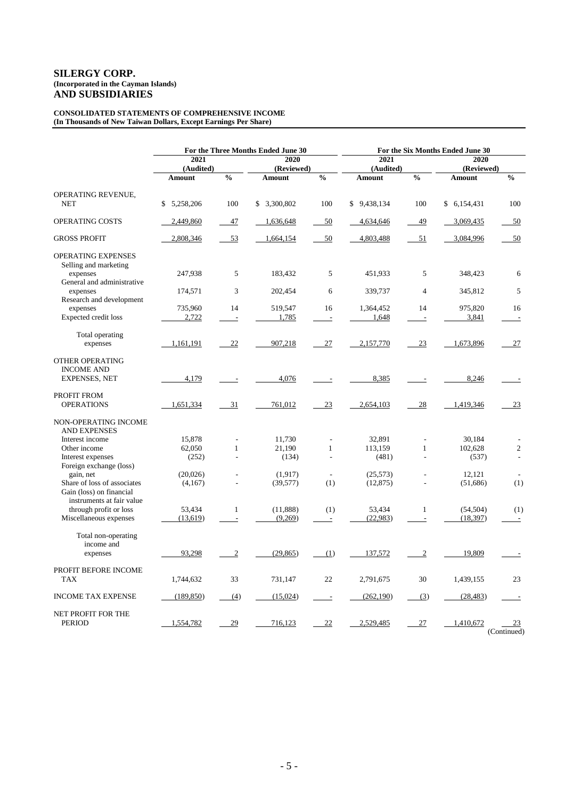#### **CONSOLIDATED STATEMENTS OF COMPREHENSIVE INCOME (In Thousands of New Taiwan Dollars, Except Earnings Per Share)**

|                                                         |                     | For the Three Months Ended June 30 | For the Six Months Ended June 30 |                                 |                       |                                |                       |                          |
|---------------------------------------------------------|---------------------|------------------------------------|----------------------------------|---------------------------------|-----------------------|--------------------------------|-----------------------|--------------------------|
|                                                         | 2021                |                                    | 2020                             |                                 | 2021                  |                                | 2020                  |                          |
|                                                         | (Audited)           | (Reviewed)                         |                                  | (Audited)                       |                       | (Reviewed)                     |                       |                          |
|                                                         | <b>Amount</b>       | $\frac{0}{0}$                      | <b>Amount</b>                    | $\overline{\frac{0}{0}}$        | <b>Amount</b>         | $\frac{0}{0}$                  | <b>Amount</b>         | $\frac{0}{0}$            |
| OPERATING REVENUE,<br><b>NET</b>                        | \$5,258,206         | 100                                | \$ 3,300,802                     | 100                             | \$9,438,134           | 100                            | \$6,154,431           | 100                      |
| OPERATING COSTS                                         | 2,449,860           | 47                                 | 1,636,648                        | 50                              | 4,634,646             | 49                             | 3,069,435             | 50                       |
| <b>GROSS PROFIT</b>                                     | 2,808,346           | 53                                 | 1,664,154                        | 50                              | 4,803,488             | 51                             | 3,084,996             | 50                       |
| OPERATING EXPENSES<br>Selling and marketing<br>expenses | 247,938             | 5                                  | 183.432                          | 5                               | 451,933               | 5                              | 348,423               | 6                        |
| General and administrative<br>expenses                  | 174,571             | 3                                  | 202,454                          | 6                               | 339,737               | $\overline{4}$                 | 345,812               | 5                        |
| Research and development                                |                     |                                    |                                  |                                 |                       |                                |                       |                          |
| expenses<br>Expected credit loss                        | 735,960<br>2,722    | 14<br>$\Box$                       | 519,547<br>1,785                 | 16<br>$\overline{\phantom{a}}$  | 1,364,452<br>1,648    | 14<br>$\overline{\phantom{a}}$ | 975,820<br>3,841      | 16<br>$\sim$             |
| Total operating<br>expenses                             | 1,161,191           | 22                                 | 907,218                          | 27                              | 2,157,770             | 23                             | 1,673,896             | 27                       |
| OTHER OPERATING<br><b>INCOME AND</b>                    |                     |                                    |                                  |                                 |                       |                                |                       |                          |
| <b>EXPENSES, NET</b>                                    | 4,179               | $\qquad \qquad \blacksquare$       | 4,076                            | $\overline{\phantom{a}}$        | 8,385                 |                                | 8,246                 |                          |
| PROFIT FROM<br><b>OPERATIONS</b>                        | 1,651,334           | 31                                 | 761,012                          | 23                              | 2,654,103             | 28                             | 1,419,346             | 23                       |
| NON-OPERATING INCOME<br><b>AND EXPENSES</b>             |                     |                                    |                                  |                                 |                       |                                |                       |                          |
| Interest income                                         | 15,878              |                                    | 11,730                           | $\overline{a}$                  | 32,891                | L,                             | 30,184                |                          |
| Other income                                            | 62,050              | $\mathbf{1}$                       | 21,190                           | $\mathbf{1}$                    | 113,159               | $\mathbf{1}$                   | 102,628               | $\mathfrak{2}$           |
| Interest expenses<br>Foreign exchange (loss)            | (252)               | L,                                 | (134)                            |                                 | (481)                 | L,                             | (537)                 | $\overline{a}$           |
| gain, net<br>Share of loss of associates                | (20,026)<br>(4,167) | ÷                                  | (1,917)<br>(39, 577)             | $\sim$<br>(1)                   | (25,573)<br>(12, 875) |                                | 12,121<br>(51,686)    | $\sim$<br>(1)            |
| Gain (loss) on financial<br>instruments at fair value   |                     |                                    |                                  |                                 |                       |                                |                       |                          |
| through profit or loss<br>Miscellaneous expenses        | 53,434<br>(13,619)  | $\mathbf{1}$<br>$\Box$             | (11,888)<br>(9,269)              | (1)<br>$\overline{\phantom{a}}$ | 53,434<br>(22,983)    | $\mathbf{1}$<br>$\Box$         | (54, 504)<br>(18,397) | (1)<br>$\sim$            |
|                                                         |                     |                                    |                                  |                                 |                       |                                |                       |                          |
| Total non-operating<br>income and<br>expenses           | 93,298              | $\overline{2}$                     | (29, 865)                        | (1)                             | 137,572               | $\sqrt{2}$                     | 19,809                |                          |
| PROFIT BEFORE INCOME<br><b>TAX</b>                      | 1,744,632           | 33                                 | 731,147                          | 22                              | 2,791,675             | 30                             | 1,439,155             | 23                       |
| <b>INCOME TAX EXPENSE</b>                               | (189, 850)          | (4)                                | (15,024)                         | $\overline{\phantom{a}}$        | (262, 190)            | (3)                            | (28, 483)             | $\overline{\phantom{a}}$ |
| NET PROFIT FOR THE<br><b>PERIOD</b>                     | 1,554,782           | 29                                 | 716,123                          | 22                              | 2,529,485             | 27                             | 1,410,672             | 23<br>(Continued)        |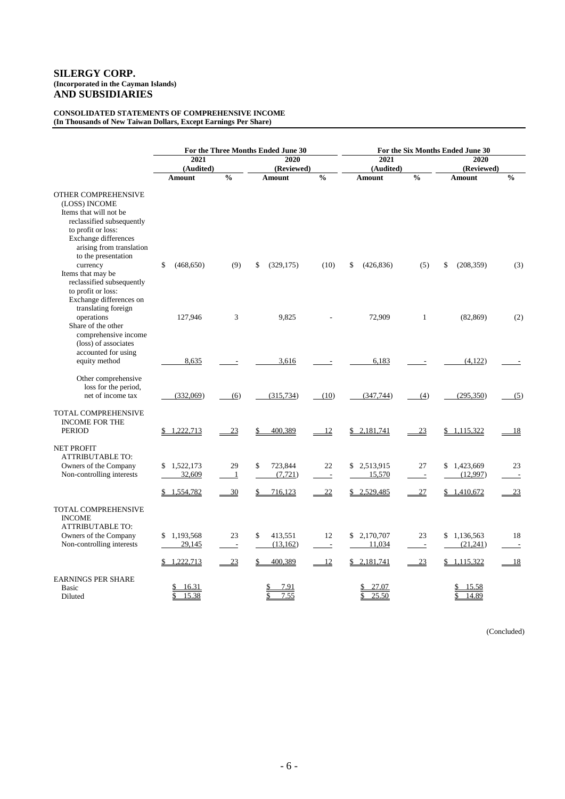#### **CONSOLIDATED STATEMENTS OF COMPREHENSIVE INCOME (In Thousands of New Taiwan Dollars, Except Earnings Per Share)**

|                                                                                                                                                                                                     |                           | For the Three Months Ended June 30 | For the Six Months Ended June 30 |                  |                           |                                |                         |                      |  |
|-----------------------------------------------------------------------------------------------------------------------------------------------------------------------------------------------------|---------------------------|------------------------------------|----------------------------------|------------------|---------------------------|--------------------------------|-------------------------|----------------------|--|
|                                                                                                                                                                                                     | 2021                      |                                    | 2020                             |                  | 2021                      |                                | 2020                    |                      |  |
|                                                                                                                                                                                                     | (Audited)                 |                                    | (Reviewed)                       |                  | (Audited)                 |                                | (Reviewed)              |                      |  |
|                                                                                                                                                                                                     | <b>Amount</b>             | $\frac{0}{0}$                      | Amount                           | $\frac{0}{0}$    | <b>Amount</b>             | $\frac{0}{0}$                  | Amount                  | $\frac{0}{0}$        |  |
| OTHER COMPREHENSIVE<br>(LOSS) INCOME<br>Items that will not be<br>reclassified subsequently<br>to profit or loss:<br><b>Exchange differences</b><br>arising from translation<br>to the presentation |                           |                                    |                                  |                  |                           |                                |                         |                      |  |
| currency<br>Items that may be<br>reclassified subsequently<br>to profit or loss:<br>Exchange differences on<br>translating foreign                                                                  | \$<br>(468, 650)          | (9)                                | \$<br>(329, 175)                 | (10)             | \$<br>(426, 836)          | (5)                            | \$<br>(208, 359)        | (3)                  |  |
| operations<br>Share of the other<br>comprehensive income<br>(loss) of associates<br>accounted for using                                                                                             | 127,946                   | 3                                  | 9,825                            |                  | 72,909                    | $\mathbf{1}$                   | (82, 869)               | (2)                  |  |
| equity method<br>Other comprehensive                                                                                                                                                                | 8,635                     |                                    | 3,616                            |                  | 6,183                     |                                | (4,122)                 |                      |  |
| loss for the period,<br>net of income tax                                                                                                                                                           | (332,069)                 | (6)                                | (315, 734)                       | (10)             | (347,744)                 | (4)                            | (295, 350)              | (5)                  |  |
| TOTAL COMPREHENSIVE<br><b>INCOME FOR THE</b><br><b>PERIOD</b>                                                                                                                                       | 1,222,713                 | 23                                 | 400,389                          | 12               | \$2,181,741               | 23                             | \$1,115,322             | <u>18</u>            |  |
| <b>NET PROFIT</b><br><b>ATTRIBUTABLE TO:</b><br>Owners of the Company<br>Non-controlling interests                                                                                                  | 1,522,173<br>32,609       | 29<br>$\mathbf{1}$                 | \$<br>723,844<br>(7, 721)        | 22<br>$\sim$ $-$ | \$2,513,915<br>15,570     | 27<br>$\overline{\phantom{a}}$ | \$1,423,669<br>(12,997) | 23<br>$\sim$ $-$     |  |
|                                                                                                                                                                                                     | 1,554,782<br>\$           | $-30$                              | 716,123                          | 22               | \$2,529,485               | $\frac{27}{2}$                 | \$1,410,672             | <u>23</u>            |  |
| <b>TOTAL COMPREHENSIVE</b><br><b>INCOME</b><br><b>ATTRIBUTABLE TO:</b>                                                                                                                              |                           |                                    |                                  |                  |                           |                                |                         |                      |  |
| Owners of the Company<br>Non-controlling interests                                                                                                                                                  | 1,193,568<br>\$<br>29,145 | 23<br>$\overline{a}$               | \$<br>413,551<br>(13,162)        | 12<br>$\sim$     | 2,170,707<br>\$<br>11,034 | 23<br>$\overline{\phantom{a}}$ | \$1,136,563<br>(21,241) | 18<br>$\overline{a}$ |  |
|                                                                                                                                                                                                     | 1,222,713<br>\$           | 23                                 | 400,389<br>\$                    | 12               | \$2,181,741               | 23                             | \$1,115,322             | 18                   |  |
| <b>EARNINGS PER SHARE</b><br>Basic<br>Diluted                                                                                                                                                       | 16.31<br>15.38            |                                    | 7.91<br>7.55<br>\$               |                  | 27.07<br>25.50            |                                | 15.58<br>14.89          |                      |  |

(Concluded)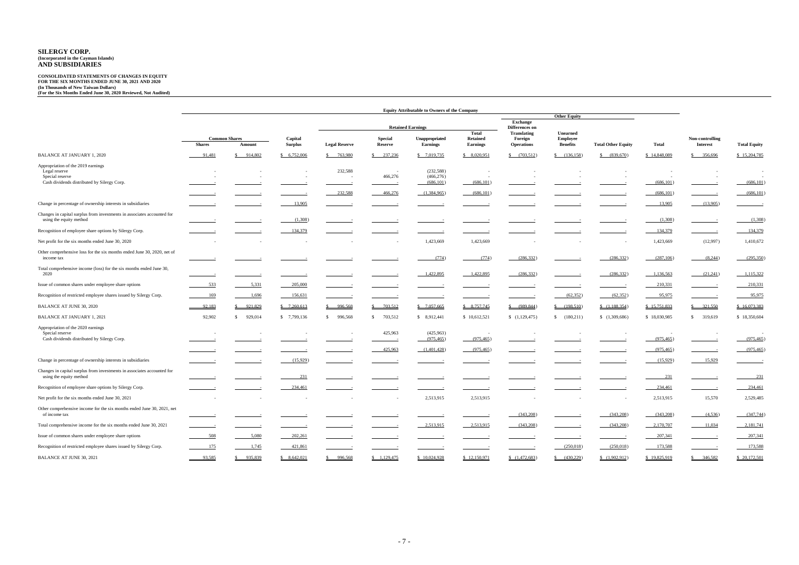|                                                                                                    | <b>Equity Attributable to Owners of the Company</b> |                      |                          |                      |                   |                                   |                                   |                        |                             |                           |                          |                       |                     |
|----------------------------------------------------------------------------------------------------|-----------------------------------------------------|----------------------|--------------------------|----------------------|-------------------|-----------------------------------|-----------------------------------|------------------------|-----------------------------|---------------------------|--------------------------|-----------------------|---------------------|
|                                                                                                    |                                                     |                      |                          |                      |                   |                                   |                                   |                        | <b>Other Equity</b>         |                           |                          |                       |                     |
|                                                                                                    |                                                     |                      | <b>Retained Earnings</b> |                      |                   |                                   | <b>Exchange</b><br>Differences on |                        |                             |                           |                          |                       |                     |
|                                                                                                    |                                                     | <b>Common Shares</b> | Capital                  |                      | <b>Special</b>    | <b>Unappropriated</b>             | Total<br><b>Retained</b>          | Translating<br>Foreign | <b>Unearned</b><br>Employee |                           |                          | Non-controlling       |                     |
|                                                                                                    | <b>Shares</b>                                       | Amount               | <b>Surplus</b>           | <b>Legal Reserve</b> | Reserve           | <b>Earnings</b>                   | <b>Earnings</b>                   | <b>Operations</b>      | <b>Benefits</b>             | <b>Total Other Equity</b> | <b>Total</b>             | <b>Interest</b>       | <b>Total Equity</b> |
| <b>BALANCE AT JANUARY 1, 2020</b>                                                                  | 91,481                                              | 914,802              | \$6,752,006              | \$763,980            | 237,236<br>S.     | \$7,019,735                       | \$8,020,951                       | \$ (703,512)           | \$ (136, 158)               | \$ (839,670)              | \$14,848,089             | \$356,696             | \$15,204,785        |
| Appropriation of the 2019 earnings                                                                 |                                                     |                      |                          |                      |                   |                                   |                                   |                        |                             |                           |                          |                       |                     |
| Legal reserve<br>Special reserve                                                                   |                                                     |                      |                          | 232,588<br>$\sim$    | $\sim$<br>466,276 | (232, 588)<br>(466, 276)          |                                   |                        |                             |                           |                          |                       |                     |
| Cash dividends distributed by Silergy Corp.                                                        |                                                     |                      |                          |                      |                   | (686, 101)                        | (686, 101)                        |                        |                             |                           | (686, 101)               |                       | (686, 101)          |
|                                                                                                    |                                                     |                      |                          | 232,588              | 466,276           | (1,384,965)                       | (686, 101)                        |                        |                             |                           | (686, 101)               |                       | (686, 101)          |
| Change in percentage of ownership interests in subsidiaries                                        |                                                     |                      | 13,905                   |                      |                   |                                   |                                   |                        |                             |                           | 13,905                   | (13,905)              |                     |
| Changes in capital surplus from investments in associates accounted for<br>using the equity method |                                                     |                      | (1,308)                  |                      |                   |                                   |                                   |                        |                             |                           | (1,308)                  |                       | (1,308)             |
| Recognition of employee share options by Silergy Corp.                                             |                                                     |                      | 134,379                  |                      |                   |                                   |                                   |                        |                             |                           | 134,379                  |                       | 134,379             |
| Net profit for the six months ended June 30, 2020                                                  |                                                     |                      |                          |                      |                   | 1,423,669                         | 1,423,669                         |                        |                             |                           | 1,423,669                | (12,997)              | 1,410,672           |
| Other comprehensive loss for the six months ended June 30, 2020, net of<br>income tax              |                                                     |                      |                          |                      |                   | (774)                             | (774)                             | (286, 332)             |                             | (286, 332)                | (287,106)                | (8,244)               | (295,350)           |
| Total comprehensive income (loss) for the six months ended June 30,<br>2020                        |                                                     |                      |                          |                      |                   | 1,422,895                         | 1,422,895                         | (286, 332)             |                             | (286, 332)                | 1,136,563                | (21,241)              | 1,115,322           |
| Issue of common shares under employee share options                                                | 533                                                 | 5,331                | 205,000                  |                      |                   |                                   |                                   |                        |                             |                           | 210,331                  |                       | 210,33              |
| Recognition of restricted employee shares issued by Silergy Corp.                                  | 169                                                 | 1,696                | 156,631                  |                      |                   |                                   |                                   |                        | (62, 352)                   | (62,352)                  | 95,975                   |                       | 95,975              |
| <b>BALANCE AT JUNE 30, 2020</b>                                                                    | 92,183                                              | 921,829              | \$7,260,613              | 996,568              | 703,512           | \$7,057,665                       | \$8,757,745                       | \$ (989, 844)          | \$ (198,510)                | (1,188,354)               | \$15,751,833             | $\frac{$}{2}$ 321,550 | \$16,073,383        |
| <b>BALANCE AT JANUARY 1, 2021</b>                                                                  | 92,902                                              | 929,014<br>\$        | \$7,799,136              | \$996,568            | 703,512<br>\$     | \$8,912,441                       | \$10,612,521                      | (1,129,475)            | \$ (180,211)                | (1,309,686)               | \$18,030,985             | \$319,619             | \$18,350,604        |
| Appropriation of the 2020 earnings<br>Special reserve                                              |                                                     |                      |                          |                      | 425,963           | (425,963)                         |                                   |                        |                             |                           |                          |                       | (975, 465)          |
| Cash dividends distributed by Silergy Corp.                                                        |                                                     |                      |                          |                      | 425,963           | (975, 465)<br>(1,401,428)         | (975, 465)<br>(975, 465)          |                        |                             |                           | (975, 465)<br>(975, 465) |                       | (975, 465)          |
| Change in percentage of ownership interests in subsidiaries                                        |                                                     |                      | (15,929)                 |                      |                   |                                   |                                   |                        |                             |                           | (15,929)                 | 15,929                |                     |
|                                                                                                    |                                                     |                      |                          |                      |                   |                                   |                                   |                        |                             |                           |                          |                       |                     |
| Changes in capital surplus from investments in associates accounted for<br>using the equity method |                                                     |                      | <u>231</u>               |                      |                   |                                   |                                   |                        |                             |                           | <u>231</u>               |                       | 231                 |
| Recognition of employee share options by Silergy Corp.                                             |                                                     |                      | 234,461                  |                      |                   |                                   |                                   |                        |                             |                           | 234,461                  |                       | 234,461             |
| Net profit for the six months ended June 30, 2021                                                  |                                                     |                      |                          |                      |                   | 2,513,915                         | 2,513,915                         |                        |                             |                           | 2,513,915                | 15,570                | 2,529,485           |
| Other comprehensive income for the six months ended June 30, 2021, net<br>of income tax            |                                                     |                      |                          |                      |                   |                                   |                                   | (343,208)              |                             | (343,208)                 | (343,208)                | (4,536)               | (347,744)           |
| Total comprehensive income for the six months ended June 30, 2021                                  |                                                     | $\equiv$             |                          |                      | $\sim$            | 2,513,915                         | 2,513,915                         | (343,208)              |                             | (343,208)                 | 2,170,707                | 11,034                | $-2,181,741$        |
| Issue of common shares under employee share options                                                | 508                                                 | 5,080                | 202,261                  |                      |                   | <b>Contract Contract Contract</b> | $\sim$                            | $\sim$ $\sim$          |                             | $\overline{\phantom{a}}$  | 207,341                  | $\sim$                | 207,341             |
| Recognition of restricted employee shares issued by Silergy Corp.                                  | 175                                                 | 1,745                | 421,861                  |                      |                   |                                   |                                   |                        | (250,018)                   | (250,018)                 | 173,588                  |                       | 173,588             |
| BALANCE AT JUNE 30, 2021                                                                           | 93,585                                              | \$935,839            | \$8,642,021              | \$996,568            | \$1,129,475       | \$10,024,928                      | \$12,150,971                      | (1,472,683)            | $\frac{(430,229)}{2}$       | (1,902,912)               | \$19,825,919             | \$346,582             | \$20,172,501        |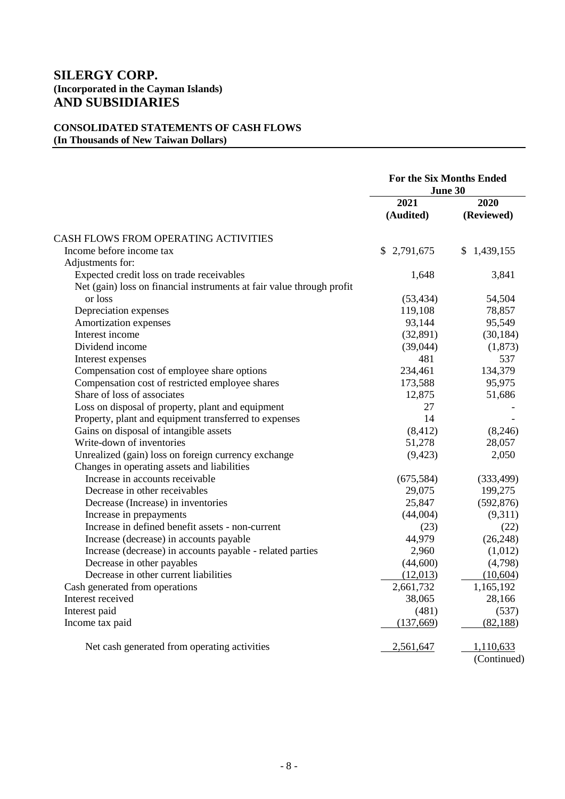# **CONSOLIDATED STATEMENTS OF CASH FLOWS (In Thousands of New Taiwan Dollars)**

|                                                                       | <b>For the Six Months Ended</b><br>June 30 |                    |
|-----------------------------------------------------------------------|--------------------------------------------|--------------------|
|                                                                       | 2021<br>(Audited)                          | 2020<br>(Reviewed) |
| CASH FLOWS FROM OPERATING ACTIVITIES                                  |                                            |                    |
| Income before income tax                                              | \$2,791,675                                | \$1,439,155        |
| Adjustments for:                                                      |                                            |                    |
| Expected credit loss on trade receivables                             | 1,648                                      | 3,841              |
| Net (gain) loss on financial instruments at fair value through profit |                                            |                    |
| or loss                                                               | (53, 434)                                  | 54,504             |
| Depreciation expenses                                                 | 119,108                                    | 78,857             |
| Amortization expenses                                                 | 93,144                                     | 95,549             |
| Interest income                                                       | (32,891)                                   | (30, 184)          |
| Dividend income                                                       | (39,044)                                   | (1,873)            |
| Interest expenses                                                     | 481                                        | 537                |
| Compensation cost of employee share options                           | 234,461                                    | 134,379            |
| Compensation cost of restricted employee shares                       | 173,588                                    | 95,975             |
| Share of loss of associates                                           | 12,875                                     | 51,686             |
| Loss on disposal of property, plant and equipment                     | 27                                         |                    |
| Property, plant and equipment transferred to expenses                 | 14                                         |                    |
| Gains on disposal of intangible assets                                | (8, 412)                                   | (8,246)            |
| Write-down of inventories                                             | 51,278                                     | 28,057             |
| Unrealized (gain) loss on foreign currency exchange                   | (9, 423)                                   | 2,050              |
| Changes in operating assets and liabilities                           |                                            |                    |
| Increase in accounts receivable                                       | (675,584)                                  | (333, 499)         |
| Decrease in other receivables                                         | 29,075                                     | 199,275            |
| Decrease (Increase) in inventories                                    | 25,847                                     | (592, 876)         |
| Increase in prepayments                                               | (44,004)                                   | (9,311)            |
| Increase in defined benefit assets - non-current                      | (23)                                       | (22)               |
| Increase (decrease) in accounts payable                               | 44,979                                     | (26, 248)          |
| Increase (decrease) in accounts payable - related parties             | 2,960                                      | (1,012)            |
| Decrease in other payables                                            | (44,600)                                   | (4,798)            |
| Decrease in other current liabilities                                 | (12,013)                                   | (10,604)           |
| Cash generated from operations                                        | 2,661,732                                  | 1,165,192          |
| Interest received                                                     | 38,065                                     | 28,166             |
| Interest paid                                                         | (481)                                      | (537)              |
| Income tax paid                                                       | (137,669)                                  | (82, 188)          |
| Net cash generated from operating activities                          | 2,561,647                                  | 1,110,633          |
|                                                                       |                                            | (Continued)        |